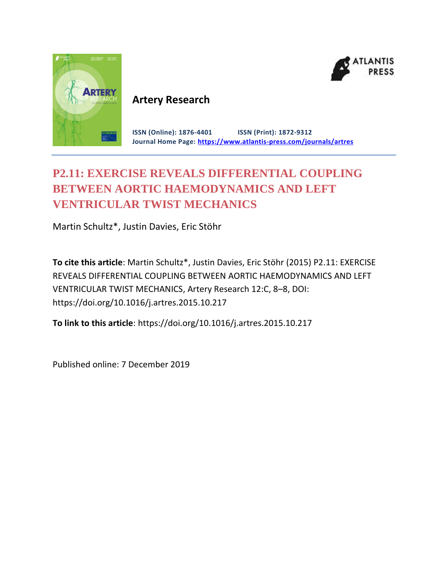



## **Artery Research**

**ISSN (Online): 1876-4401 ISSN (Print): 1872-9312 Journal Home Page: <https://www.atlantis-press.com/journals/artres>**

# **P2.11: EXERCISE REVEALS DIFFERENTIAL COUPLING BETWEEN AORTIC HAEMODYNAMICS AND LEFT VENTRICULAR TWIST MECHANICS**

Martin Schultz\*, Justin Davies, Eric Stöhr

**To cite this article**: Martin Schultz\*, Justin Davies, Eric Stöhr (2015) P2.11: EXERCISE REVEALS DIFFERENTIAL COUPLING BETWEEN AORTIC HAEMODYNAMICS AND LEFT VENTRICULAR TWIST MECHANICS, Artery Research 12:C, 8–8, DOI: https://doi.org/10.1016/j.artres.2015.10.217

**To link to this article**: https://doi.org/10.1016/j.artres.2015.10.217

Published online: 7 December 2019